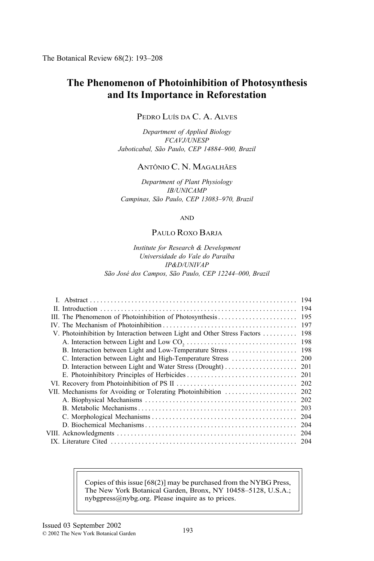# **The Phenomenon of Photoinhibition of Photosynthesis and Its Importance in Reforestation**

PEDRO LUÍS DA C. A. ALVES

*Department of Applied Biology FCAVJ/UNESP* Jaboticabal, São Paulo, CEP 14884-900, Brazil

# ANTÔNIO C. N. MAGALHÃES

*Department of Plant Physiology IB/UNICAMP* Campinas, São Paulo, CEP 13083-970, Brazil

AND

## PAULO ROXO BARJA

*Institute for Research & Development Universidade do Vale do ParaÌba IP&D/UNIVAP* São José dos Campos, São Paulo, CEP 12244-000, Brazil

|                                                                          | 194 |
|--------------------------------------------------------------------------|-----|
|                                                                          | 194 |
| III. The Phenomenon of Photoinhibition of Photosynthesis                 | 195 |
|                                                                          | 197 |
| V. Photoinhibition by Interaction between Light and Other Stress Factors | 198 |
|                                                                          | 198 |
|                                                                          | 198 |
| C. Interaction between Light and High-Temperature Stress                 | 200 |
|                                                                          | 201 |
|                                                                          | 201 |
|                                                                          | 202 |
| VII. Mechanisms for Avoiding or Tolerating Photoinhibition               | 202 |
|                                                                          | 202 |
|                                                                          | 203 |
|                                                                          | 204 |
|                                                                          | 204 |
|                                                                          | 204 |
|                                                                          | 204 |

#### Copies of this issue [68(2)] may be purchased from the NYBG Press, The New York Botanical Garden, Bronx, NY 10458-5128, U.S.A.; nybgpress@nybg.org. Please inquire as to prices.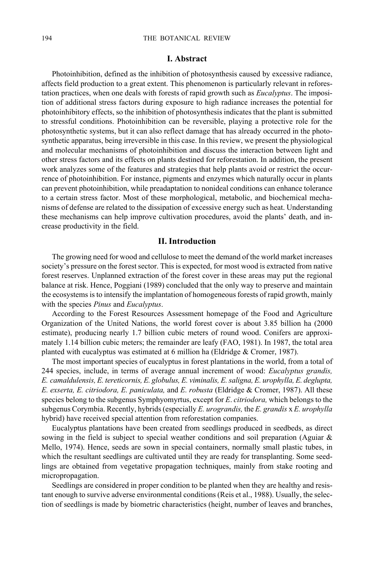#### 194 THE BOTANICAL REVIEW

## **I. Abstract**

Photoinhibition, defined as the inhibition of photosynthesis caused by excessive radiance, affects field production to a great extent. This phenomenon is particularly relevant in reforestation practices, when one deals with forests of rapid growth such as *Eucalyptus*. The imposition of additional stress factors during exposure to high radiance increases the potential for photoinhibitory effects, so the inhibition of photosynthesis indicates that the plant is submitted to stressful conditions. Photoinhibition can be reversible, playing a protective role for the photosynthetic systems, but it can also reflect damage that has already occurred in the photosynthetic apparatus, being irreversible in this case. In this review, we present the physiological and molecular mechanisms of photoinhibition and discuss the interaction between light and other stress factors and its effects on plants destined for reforestation. In addition, the present work analyzes some of the features and strategies that help plants avoid or restrict the occurrence of photoinhibition. For instance, pigments and enzymes which naturally occur in plants can prevent photoinhibition, while preadaptation to nonideal conditions can enhance tolerance to a certain stress factor. Most of these morphological, metabolic, and biochemical mechanisms of defense are related to the dissipation of excessive energy such as heat. Understanding these mechanisms can help improve cultivation procedures, avoid the plants' death, and increase productivity in the field.

## **II. Introduction**

The growing need for wood and cellulose to meet the demand of the world market increases society's pressure on the forest sector. This is expected, for most wood is extracted from native forest reserves. Unplanned extraction of the forest cover in these areas may put the regional balance at risk. Hence, Poggiani (1989) concluded that the only way to preserve and maintain the ecosystems is to intensify the implantation of homogeneous forests of rapid growth, mainly with the species *Pinus* and *Eucalyptus*.

According to the Forest Resources Assessment homepage of the Food and Agriculture Organization of the United Nations, the world forest cover is about 3.85 billion ha (2000 estimate), producing nearly 1.7 billion cubic meters of round wood. Conifers are approximately 1.14 billion cubic meters; the remainder are leafy (FAO, 1981). In 1987, the total area planted with eucalyptus was estimated at 6 million ha (Eldridge & Cromer, 1987).

The most important species of eucalyptus in forest plantations in the world, from a total of 244 species, include, in terms of average annual increment of wood: *Eucalyptus grandis, E. camaldulensis, E. tereticornis, E. globulus, E. viminalis, E. saligna, E. urophylla, E. deglupta, E. exserta, E. citriodora, E. paniculata,* and *E. robusta* (Eldridge & Cromer, 1987). All these species belong to the subgenus Symphyomyrtus, except for *E*. *citriodora,* which belongs to the subgenus Corymbia. Recently, hybrids (especially *E. urograndis,* the *E. grandis* x *E. urophylla* hybrid) have received special attention from reforestation companies.

Eucalyptus plantations have been created from seedlings produced in seedbeds, as direct sowing in the field is subject to special weather conditions and soil preparation (Aguiar  $\&$ Mello, 1974). Hence, seeds are sown in special containers, normally small plastic tubes, in which the resultant seedlings are cultivated until they are ready for transplanting. Some seedlings are obtained from vegetative propagation techniques, mainly from stake rooting and micropropagation.

Seedlings are considered in proper condition to be planted when they are healthy and resistant enough to survive adverse environmental conditions (Reis et al., 1988). Usually, the selection of seedlings is made by biometric characteristics (height, number of leaves and branches,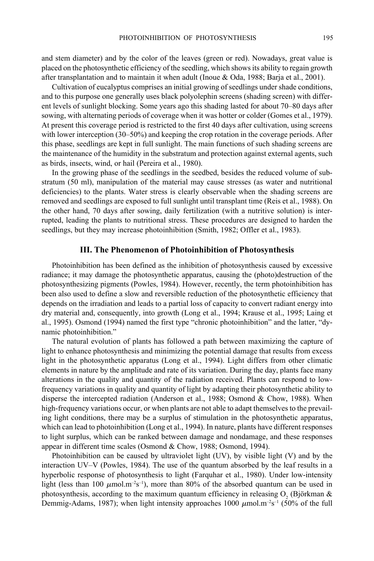and stem diameter) and by the color of the leaves (green or red). Nowadays, great value is placed on the photosynthetic efficiency of the seedling, which shows its ability to regain growth after transplantation and to maintain it when adult (Inoue & Oda, 1988; Barja et al., 2001).

Cultivation of eucalyptus comprises an initial growing of seedlings under shade conditions, and to this purpose one generally uses black polyolephin screens (shading screen) with different levels of sunlight blocking. Some years ago this shading lasted for about 70–80 days after sowing, with alternating periods of coverage when it was hotter or colder (Gomes et al., 1979). At present this coverage period is restricted to the first 40 days after cultivation, using screens with lower interception  $(30-50\%)$  and keeping the crop rotation in the coverage periods. After this phase, seedlings are kept in full sunlight. The main functions of such shading screens are the maintenance of the humidity in the substratum and protection against external agents, such as birds, insects, wind, or hail (Pereira et al., 1980).

In the growing phase of the seedlings in the seedbed, besides the reduced volume of substratum (50 ml), manipulation of the material may cause stresses (as water and nutritional deficiencies) to the plants. Water stress is clearly observable when the shading screens are removed and seedlings are exposed to full sunlight until transplant time (Reis et al., 1988). On the other hand, 70 days after sowing, daily fertilization (with a nutritive solution) is interrupted, leading the plants to nutritional stress. These procedures are designed to harden the seedlings, but they may increase photoinhibition (Smith, 1982; Offler et al., 1983).

## **III. The Phenomenon of Photoinhibition of Photosynthesis**

Photoinhibition has been defined as the inhibition of photosynthesis caused by excessive radiance; it may damage the photosynthetic apparatus, causing the (photo)destruction of the photosynthesizing pigments (Powles, 1984). However, recently, the term photoinhibition has been also used to define a slow and reversible reduction of the photosynthetic efficiency that depends on the irradiation and leads to a partial loss of capacity to convert radiant energy into dry material and, consequently, into growth (Long et al., 1994; Krause et al., 1995; Laing et al., 1995). Osmond  $(1994)$  named the first type "chronic photoinhibition" and the latter, "dynamic photoinhibition."

The natural evolution of plants has followed a path between maximizing the capture of light to enhance photosynthesis and minimizing the potential damage that results from excess light in the photosynthetic apparatus (Long et al., 1994). Light differs from other climatic elements in nature by the amplitude and rate of its variation. During the day, plants face many alterations in the quality and quantity of the radiation received. Plants can respond to lowfrequency variations in quality and quantity of light by adapting their photosynthetic ability to disperse the intercepted radiation (Anderson et al., 1988; Osmond & Chow, 1988). When high-frequency variations occur, or when plants are not able to adapt themselves to the prevailing light conditions, there may be a surplus of stimulation in the photosynthetic apparatus, which can lead to photoinhibition (Long et al., 1994). In nature, plants have different responses to light surplus, which can be ranked between damage and nondamage, and these responses appear in different time scales (Osmond & Chow, 1988; Osmond, 1994).

Photoinhibition can be caused by ultraviolet light (UV), by visible light (V) and by the interaction UV-V (Powles, 1984). The use of the quantum absorbed by the leaf results in a hyperbolic response of photosynthesis to light (Farquhar et al., 1980). Under low-intensity light (less than 100  $\mu$ mol.m<sup>-2</sup>s<sup>-1</sup>), more than 80% of the absorbed quantum can be used in photosynthesis, according to the maximum quantum efficiency in releasing  $O_2$  (Björkman & Demmig-Adams, 1987); when light intensity approaches 1000  $\mu$ mol.m<sup>-2</sup>s<sup>-1</sup> (50% of the full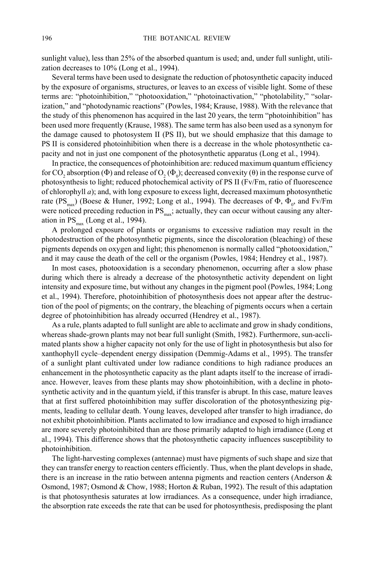sunlight value), less than 25% of the absorbed quantum is used; and, under full sunlight, utilization decreases to 10% (Long et al., 1994).

Several terms have been used to designate the reduction of photosynthetic capacity induced by the exposure of organisms, structures, or leaves to an excess of visible light. Some of these terms are: "photoinhibition," "photooxidation," "photoinactivation," "photolability," "solarization," and "photodynamic reactions" (Powles, 1984; Krause, 1988). With the relevance that the study of this phenomenon has acquired in the last 20 years, the term "photoinhibition" has been used more frequently (Krause, 1988). The same term has also been used as a synonym for the damage caused to photosystem II (PS II), but we should emphasize that this damage to PS II is considered photoinhibition when there is a decrease in the whole photosynthetic capacity and not in just one component of the photosynthetic apparatus (Long et al., 1994).

In practice, the consequences of photoinhibition are: reduced maximum quantum efficiency for CO<sub>2</sub> absorption ( $\Phi$ ) and release of O<sub>2</sub> ( $\Phi$ <sub>0</sub>); decreased convexity ( $\theta$ ) in the response curve of photosynthesis to light; reduced photochemical activity of PS II (Fv/Fm, ratio of fluorescence of chlorophyll *a*); and, with long exposure to excess light, decreased maximum photosynthetic rate (PS<sub>max</sub>) (Boese & Huner, 1992; Long et al., 1994). The decreases of  $\Phi$ ,  $\Phi$ <sub>0</sub>, and Fv/Fm were noticed preceding reduction in  $PS<sub>max</sub>$ ; actually, they can occur without causing any alteration in  $PS<sub>max</sub>$  (Long et al., 1994).

A prolonged exposure of plants or organisms to excessive radiation may result in the photodestruction of the photosynthetic pigments, since the discoloration (bleaching) of these pigments depends on oxygen and light; this phenomenon is normally called "photooxidation," and it may cause the death of the cell or the organism (Powles, 1984; Hendrey et al., 1987).

In most cases, photooxidation is a secondary phenomenon, occurring after a slow phase during which there is already a decrease of the photosynthetic activity dependent on light intensity and exposure time, but without any changes in the pigment pool (Powles, 1984; Long et al., 1994). Therefore, photoinhibition of photosynthesis does not appear after the destruction of the pool of pigments; on the contrary, the bleaching of pigments occurs when a certain degree of photoinhibition has already occurred (Hendrey et al., 1987).

As a rule, plants adapted to full sunlight are able to acclimate and grow in shady conditions, whereas shade-grown plants may not bear full sunlight (Smith, 1982). Furthermore, sun-acclimated plants show a higher capacity not only for the use of light in photosynthesis but also for xanthophyll cycle-dependent energy dissipation (Demmig-Adams et al., 1995). The transfer of a sunlight plant cultivated under low radiance conditions to high radiance produces an enhancement in the photosynthetic capacity as the plant adapts itself to the increase of irradiance. However, leaves from these plants may show photoinhibition, with a decline in photosynthetic activity and in the quantum yield, if this transfer is abrupt. In this case, mature leaves that at first suffered photoinhibition may suffer discoloration of the photosynthesizing pigments, leading to cellular death. Young leaves, developed after transfer to high irradiance, do not exhibit photoinhibition. Plants acclimated to low irradiance and exposed to high irradiance are more severely photoinhibited than are those primarily adapted to high irradiance (Long et al., 1994). This difference shows that the photosynthetic capacity influences susceptibility to photoinhibition.

The light-harvesting complexes (antennae) must have pigments of such shape and size that they can transfer energy to reaction centers efficiently. Thus, when the plant develops in shade, there is an increase in the ratio between antenna pigments and reaction centers (Anderson & Osmond, 1987; Osmond & Chow, 1988; Horton & Ruban, 1992). The result of this adaptation is that photosynthesis saturates at low irradiances. As a consequence, under high irradiance, the absorption rate exceeds the rate that can be used for photosynthesis, predisposing the plant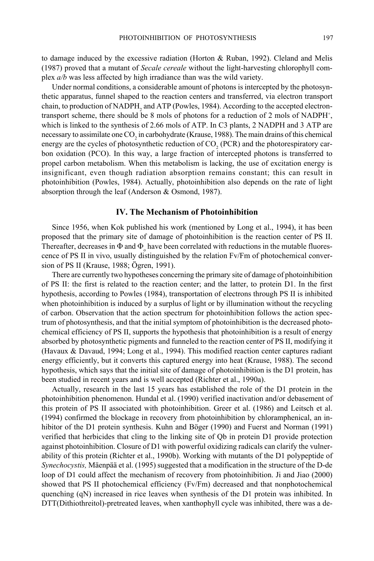to damage induced by the excessive radiation (Horton  $\&$  Ruban, 1992). Cleland and Melis (1987) proved that a mutant of *Secale cereale* without the light-harvesting chlorophyll complex *a/b* was less affected by high irradiance than was the wild variety.

Under normal conditions, a considerable amount of photons is intercepted by the photosynthetic apparatus, funnel shaped to the reaction centers and transferred, via electron transport chain, to production of  $\mathrm{NADPH}_2$  and  $\mathrm{ATP}$  (Powles, 1984). According to the accepted electrontransport scheme, there should be 8 mols of photons for a reduction of 2 mols of NADPH<sup>+</sup>, which is linked to the synthesis of 2.66 mols of ATP. In C3 plants, 2 NADPH and 3 ATP are necessary to assimilate one  $\mathrm{CO}_2$  in carbohydrate (Krause, 1988). The main drains of this chemical energy are the cycles of photosynthetic reduction of  $CO<sub>2</sub>$  (PCR) and the photorespiratory carbon oxidation (PCO). In this way, a large fraction of intercepted photons is transferred to propel carbon metabolism. When this metabolism is lacking, the use of excitation energy is insignificant, even though radiation absorption remains constant; this can result in photoinhibition (Powles, 1984). Actually, photoinhibition also depends on the rate of light absorption through the leaf (Anderson & Osmond, 1987).

## **IV. The Mechanism of Photoinhibition**

Since 1956, when Kok published his work (mentioned by Long et al., 1994), it has been proposed that the primary site of damage of photoinhibition is the reaction center of PS II. Thereafter, decreases in  $\Phi$  and  $\Phi_{\circ}$  have been correlated with reductions in the mutable fluorescence of PS II in vivo, usually distinguished by the relation Fv/Fm of photochemical conversion of PS II (Krause, 1988; Ögren, 1991).

There are currently two hypotheses concerning the primary site of damage of photoinhibition of PS II: the first is related to the reaction center; and the latter, to protein D1. In the first hypothesis, according to Powles (1984), transportation of electrons through PS II is inhibited when photoinhibition is induced by a surplus of light or by illumination without the recycling of carbon. Observation that the action spectrum for photoinhibition follows the action spectrum of photosynthesis, and that the initial symptom of photoinhibition is the decreased photochemical efficiency of PS II, supports the hypothesis that photoinhibition is a result of energy absorbed by photosynthetic pigments and funneled to the reaction center of PS II, modifying it (Havaux & Davaud, 1994; Long et al., 1994). This modified reaction center captures radiant energy efficiently, but it converts this captured energy into heat (Krause, 1988). The second hypothesis, which says that the initial site of damage of photoinhibition is the D1 protein, has been studied in recent years and is well accepted (Richter et al., 1990a).

Actually, research in the last 15 years has established the role of the D1 protein in the photoinhibition phenomenon. Hundal et al. (1990) verified inactivation and/or debasement of this protein of PS II associated with photoinhibition. Greer et al. (1986) and Leitsch et al. (1994) confirmed the blockage in recovery from photoinhibition by chloramphenical, an inhibitor of the D1 protein synthesis. Kuhn and Böger (1990) and Fuerst and Norman (1991) verified that herbicides that cling to the linking site of Qb in protein D1 provide protection against photoinhibition. Closure of D1 with powerful oxidizing radicals can clarify the vulnerability of this protein (Richter et al., 1990b). Working with mutants of the D1 polypeptide of Synechocystis, Mäenpää et al. (1995) suggested that a modification in the structure of the D-de loop of D1 could affect the mechanism of recovery from photoinhibition. Ji and Jiao (2000) showed that PS II photochemical efficiency (Fv/Fm) decreased and that nonphotochemical quenching (qN) increased in rice leaves when synthesis of the D1 protein was inhibited. In DTT(Dithiothreitol)-pretreated leaves, when xanthophyll cycle was inhibited, there was a de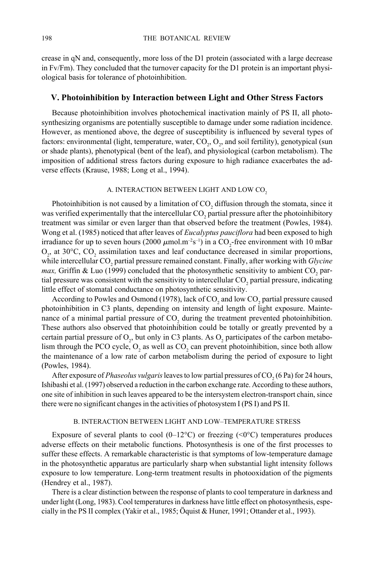crease in qN and, consequently, more loss of the D1 protein (associated with a large decrease in Fv/Fm). They concluded that the turnover capacity for the D1 protein is an important physiological basis for tolerance of photoinhibition.

#### **V. Photoinhibition by Interaction between Light and Other Stress Factors**

Because photoinhibition involves photochemical inactivation mainly of PS II, all photosynthesizing organisms are potentially susceptible to damage under some radiation incidence. However, as mentioned above, the degree of susceptibility is influenced by several types of factors: environmental (light, temperature, water,  $CO_2$ ,  $O_2$ , and soil fertility), genotypical (sun or shade plants), phenotypical (bent of the leaf), and physiological (carbon metabolism). The imposition of additional stress factors during exposure to high radiance exacerbates the adverse effects (Krause, 1988; Long et al., 1994).

#### A. INTERACTION BETWEEN LIGHT AND LOW CO.

Photoinhibition is not caused by a limitation of  $CO_2$  diffusion through the stomata, since it was verified experimentally that the intercellular  $CO<sub>2</sub>$  partial pressure after the photoinhibitory treatment was similar or even larger than that observed before the treatment (Powles, 1984). Wong et al. (1985) noticed that after leaves of *Eucalyptus pauciflora* had been exposed to high irradiance for up to seven hours (2000  $\mu$ mol.m<sup>-2</sup>s<sup>-1</sup>) in a CO<sub>2</sub>-free environment with 10 mBar  $O_2$ , at 30°C,  $CO_2$  assimilation taxes and leaf conductance decreased in similar proportions, while intercellular CO<sub>2</sub> partial pressure remained constant. Finally, after working with *Glycine max*, Griffin & Luo (1999) concluded that the photosynthetic sensitivity to ambient  $CO_2$  partial pressure was consistent with the sensitivity to intercellular  $\mathrm{CO}_2$  partial pressure, indicating little effect of stomatal conductance on photosynthetic sensitivity.

According to Powles and Osmond (1978), lack of  $CO_2$  and low  $CO_2$  partial pressure caused photoinhibition in C3 plants, depending on intensity and length of light exposure. Maintenance of a minimal partial pressure of  $CO<sub>2</sub>$  during the treatment prevented photoinhibition. These authors also observed that photoinhibition could be totally or greatly prevented by a certain partial pressure of  $O_2$ , but only in C3 plants. As  $O_2$  participates of the carbon metabolism through the PCO cycle,  $O_2$  as well as  $CO_2$  can prevent photoinhibition, since both allow the maintenance of a low rate of carbon metabolism during the period of exposure to light (Powles, 1984).

After exposure of *Phaseolus vulgaris* leaves to low partial pressures of CO<sub>2</sub> (6 Pa) for 24 hours, Ishibashi et al. (1997) observed a reduction in the carbon exchange rate. According to these authors, one site of inhibition in such leaves appeared to be the intersystem electron-transport chain, since there were no significant changes in the activities of photosystem I (PS I) and PS II.

#### B. INTERACTION BETWEEN LIGHT AND LOW-TEMPERATURE STRESS

Exposure of several plants to cool  $(0-12^{\circ}\text{C})$  or freezing  $( $0^{\circ}\text{C}$ )$  temperatures produces adverse effects on their metabolic functions. Photosynthesis is one of the first processes to suffer these effects. A remarkable characteristic is that symptoms of low-temperature damage in the photosynthetic apparatus are particularly sharp when substantial light intensity follows exposure to low temperature. Long-term treatment results in photooxidation of the pigments (Hendrey et al., 1987).

There is a clear distinction between the response of plants to cool temperature in darkness and under light (Long, 1983). Cool temperatures in darkness have little effect on photosynthesis, especially in the PS II complex (Yakir et al., 1985; Öquist & Huner, 1991; Ottander et al., 1993).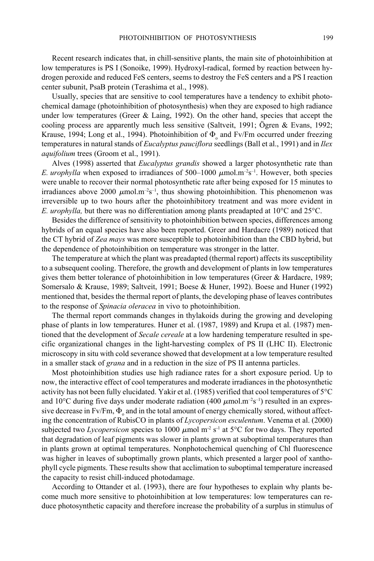Recent research indicates that, in chill-sensitive plants, the main site of photoinhibition at low temperatures is PS I (Sonoike, 1999). Hydroxyl-radical, formed by reaction between hydrogen peroxide and reduced FeS centers, seems to destroy the FeS centers and a PS I reaction center subunit, PsaB protein (Terashima et al., 1998).

Usually, species that are sensitive to cool temperatures have a tendency to exhibit photochemical damage (photoinhibition of photosynthesis) when they are exposed to high radiance under low temperatures (Greer  $\&$  Laing, 1992). On the other hand, species that accept the cooling process are apparently much less sensitive (Saltveit, 1991; Ögren & Evans, 1992; Krause, 1994; Long et al., 1994). Photoinhibition of  $\Phi_{\text{o}}$  and Fv/Fm occurred under freezing temperatures in natural stands of *Eucalyptus pauciflora* seedlings (Ball et al., 1991) and in *Ilex aquifolium* trees (Groom et al., 1991).

Alves (1998) asserted that *Eucalyptus grandis* showed a larger photosynthetic rate than *E. urophylla* when exposed to irradiances of 500–1000  $\mu$ mol.m<sup>-2</sup>s<sup>-1</sup>. However, both species were unable to recover their normal photosynthetic rate after being exposed for 15 minutes to irradiances above 2000  $\mu$ mol.m<sup>-2</sup>s<sup>-1</sup>, thus showing photoinhibition. This phenomenon was irreversible up to two hours after the photoinhibitory treatment and was more evident in *E. urophylla,* but there was no differentiation among plants preadapted at 10°C and 25°C.

Besides the difference of sensitivity to photoinhibition between species, differences among hybrids of an equal species have also been reported. Greer and Hardacre (1989) noticed that the CT hybrid of *Zea mays* was more susceptible to photoinhibition than the CBD hybrid, but the dependence of photoinhibition on temperature was stronger in the latter.

The temperature at which the plant was preadapted (thermal report) affects its susceptibility to a subsequent cooling. Therefore, the growth and development of plants in low temperatures gives them better tolerance of photoinhibition in low temperatures (Greer & Hardacre, 1989; Somersalo & Krause, 1989; Saltveit, 1991; Boese & Huner, 1992). Boese and Huner (1992) mentioned that, besides the thermal report of plants, the developing phase of leaves contributes to the response of *Spinacia oleracea* in vivo to photoinhibition.

The thermal report commands changes in thylakoids during the growing and developing phase of plants in low temperatures. Huner et al. (1987, 1989) and Krupa et al. (1987) mentioned that the development of *Secale cereale* at a low hardening temperature resulted in specific organizational changes in the light-harvesting complex of PS II (LHC II). Electronic microscopy in situ with cold severance showed that development at a low temperature resulted in a smaller stack of *grana* and in a reduction in the size of PS II antenna particles.

Most photoinhibition studies use high radiance rates for a short exposure period. Up to now, the interactive effect of cool temperatures and moderate irradiances in the photosynthetic activity has not been fully elucidated. Yakir et al. (1985) verified that cool temperatures of 5°C and 10°C during five days under moderate radiation (400  $\mu$ mol.m<sup>-2</sup>s<sup>-1</sup>) resulted in an expressive decrease in Fv/Fm,  $\Phi_{\circ}$  and in the total amount of energy chemically stored, without affecting the concentration of RubisCO in plants of *Lycopersicon esculentum*. Venema et al. (2000) subjected two *Lycopersicon* species to 1000  $\mu$ mol m<sup>-2</sup> s<sup>-1</sup> at 5<sup>o</sup>C for two days. They reported that degradation of leaf pigments was slower in plants grown at suboptimal temperatures than in plants grown at optimal temperatures. Nonphotochemical quenching of Chl fluorescence was higher in leaves of suboptimally grown plants, which presented a larger pool of xanthophyll cycle pigments. These results show that acclimation to suboptimal temperature increased the capacity to resist chill-induced photodamage.

According to Ottander et al. (1993), there are four hypotheses to explain why plants become much more sensitive to photoinhibition at low temperatures: low temperatures can reduce photosynthetic capacity and therefore increase the probability of a surplus in stimulus of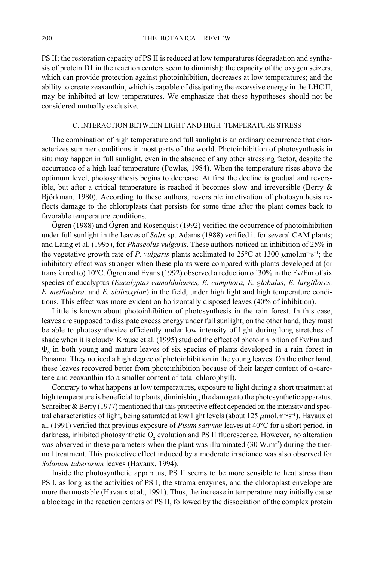PS II; the restoration capacity of PS II is reduced at low temperatures (degradation and synthesis of protein D1 in the reaction centers seem to diminish); the capacity of the oxygen seizers, which can provide protection against photoinhibition, decreases at low temperatures; and the ability to create zeaxanthin, which is capable of dissipating the excessive energy in the LHC II, may be inhibited at low temperatures. We emphasize that these hypotheses should not be considered mutually exclusive.

#### C. INTERACTION BETWEEN LIGHT AND HIGH-TEMPERATURE STRESS

The combination of high temperature and full sunlight is an ordinary occurrence that characterizes summer conditions in most parts of the world. Photoinhibition of photosynthesis in situ may happen in full sunlight, even in the absence of any other stressing factor, despite the occurrence of a high leaf temperature (Powles, 1984). When the temperature rises above the optimum level, photosynthesis begins to decrease. At first the decline is gradual and reversible, but after a critical temperature is reached it becomes slow and irreversible (Berry  $\&$ Björkman, 1980). According to these authors, reversible inactivation of photosynthesis reflects damage to the chloroplasts that persists for some time after the plant comes back to favorable temperature conditions.

 $\ddot{O}$ gren (1988) and  $\ddot{O}$ gren and Rosenquist (1992) verified the occurrence of photoinhibition under full sunlight in the leaves of *Salix* sp. Adams (1988) verified it for several CAM plants; and Laing et al. (1995), for *Phaseolus vulgaris*. These authors noticed an inhibition of 25% in the vegetative growth rate of *P. vulgaris* plants acclimated to  $25^{\circ}$ C at  $1300 \mu$ mol.m<sup>-2</sup>s<sup>-1</sup>; the inhibitory effect was stronger when these plants were compared with plants developed at (or transferred to)  $10^{\circ}$ C. Ögren and Evans (1992) observed a reduction of 30% in the Fv/Fm of six species of eucalyptus (*Eucalyptus camaldulenses, E. camphora, E. globulus, E. largiflores, E. melliodora,* and *E. sidiroxylon*) in the field, under high light and high temperature conditions. This effect was more evident on horizontally disposed leaves (40% of inhibition).

Little is known about photoinhibition of photosynthesis in the rain forest. In this case, leaves are supposed to dissipate excess energy under full sunlight; on the other hand, they must be able to photosynthesize efficiently under low intensity of light during long stretches of shade when it is cloudy. Krause et al. (1995) studied the effect of photoinhibition of Fv/Fm and  $\Phi$ <sub>0</sub> in both young and mature leaves of six species of plants developed in a rain forest in Panama. They noticed a high degree of photoinhibition in the young leaves. On the other hand, these leaves recovered better from photoinhibition because of their larger content of  $\alpha$ -carotene and zeaxanthin (to a smaller content of total chlorophyll).

Contrary to what happens at low temperatures, exposure to light during a short treatment at high temperature is beneficial to plants, diminishing the damage to the photosynthetic apparatus. Schreiber & Berry (1977) mentioned that this protective effect depended on the intensity and spectral characteristics of light, being saturated at low light levels (about 125  $\mu$ mol.m<sup>-2</sup>s<sup>-1</sup>). Havaux et al. (1991) verified that previous exposure of *Pisum sativum* leaves at 40°C for a short period, in darkness, inhibited photosynthetic  $O_2$  evolution and PS II fluorescence. However, no alteration was observed in these parameters when the plant was illuminated (30 W.m<sup>-2</sup>) during the thermal treatment. This protective effect induced by a moderate irradiance was also observed for *Solanum tuberosum* leaves (Havaux, 1994).

Inside the photosynthetic apparatus, PS II seems to be more sensible to heat stress than PS I, as long as the activities of PS I, the stroma enzymes, and the chloroplast envelope are more thermostable (Havaux et al., 1991). Thus, the increase in temperature may initially cause a blockage in the reaction centers of PS II, followed by the dissociation of the complex protein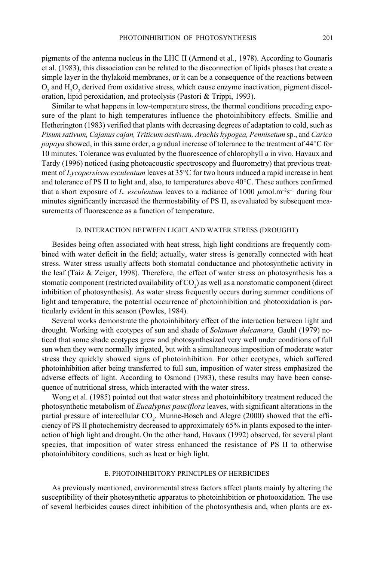pigments of the antenna nucleus in the LHC II (Armond et al., 1978). According to Gounaris et al. (1983), this dissociation can be related to the disconnection of lipids phases that create a simple layer in the thylakoid membranes, or it can be a consequence of the reactions between  $O_2$  and  $H_2O_2$  derived from oxidative stress, which cause enzyme inactivation, pigment discoloration, lipid peroxidation, and proteolysis (Pastori & Trippi, 1993).

Similar to what happens in low-temperature stress, the thermal conditions preceding exposure of the plant to high temperatures influence the photoinhibitory effects. Smillie and Hetherington (1983) verified that plants with decreasing degrees of adaptation to cold, such as *Pisum sativum, Cajanus cajan, Triticum aestivum, Arachis hypogea, Pennisetum* sp., and *Carica papaya* showed, in this same order, a gradual increase of tolerance to the treatment of 44°C for 10 minutes. Tolerance was evaluated by the fluorescence of chlorophyll *a* in vivo. Havaux and Tardy (1996) noticed (using photoacoustic spectroscopy and fluorometry) that previous treatment of *Lycopersicon esculentum* leaves at 35°C for two hours induced a rapid increase in heat and tolerance of PS II to light and, also, to temperatures above 40°C. These authors confirmed that a short exposure of *L. esculentum* leaves to a radiance of 1000  $\mu$ mol.m<sup>-2</sup>s<sup>-1</sup> during four minutes significantly increased the thermostability of PS II, as evaluated by subsequent measurements of fluorescence as a function of temperature.

#### D. INTERACTION BETWEEN LIGHT AND WATER STRESS (DROUGHT)

Besides being often associated with heat stress, high light conditions are frequently combined with water deficit in the field; actually, water stress is generally connected with heat stress. Water stress usually affects both stomatal conductance and photosynthetic activity in the leaf (Taiz & Zeiger, 1998). Therefore, the effect of water stress on photosynthesis has a stomatic component (restricted availability of  $\mathrm{CO}_2$ ) as well as a nonstomatic component (direct inhibition of photosynthesis). As water stress frequently occurs during summer conditions of light and temperature, the potential occurrence of photoinhibition and photooxidation is particularly evident in this season (Powles, 1984).

Several works demonstrate the photoinhibitory effect of the interaction between light and drought. Working with ecotypes of sun and shade of *Solanum dulcamara,* Gauhl (1979) noticed that some shade ecotypes grew and photosynthesized very well under conditions of full sun when they were normally irrigated, but with a simultaneous imposition of moderate water stress they quickly showed signs of photoinhibition. For other ecotypes, which suffered photoinhibition after being transferred to full sun, imposition of water stress emphasized the adverse effects of light. According to Osmond (1983), these results may have been consequence of nutritional stress, which interacted with the water stress.

Wong et al. (1985) pointed out that water stress and photoinhibitory treatment reduced the photosynthetic metabolism of *Eucalyptus pauciflora* leaves, with significant alterations in the partial pressure of intercellular  $CO_2$ . Munne-Bosch and Alegre (2000) showed that the efficiency of PS II photochemistry decreased to approximately 65% in plants exposed to the interaction of high light and drought. On the other hand, Havaux (1992) observed, for several plant species, that imposition of water stress enhanced the resistance of PS II to otherwise photoinhibitory conditions, such as heat or high light.

#### E. PHOTOINHIBITORY PRINCIPLES OF HERBICIDES

As previously mentioned, environmental stress factors affect plants mainly by altering the susceptibility of their photosynthetic apparatus to photoinhibition or photooxidation. The use of several herbicides causes direct inhibition of the photosynthesis and, when plants are ex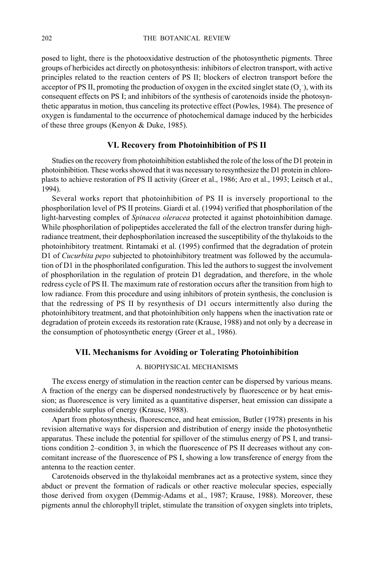posed to light, there is the photooxidative destruction of the photosynthetic pigments. Three groups of herbicides act directly on photosynthesis: inhibitors of electron transport, with active principles related to the reaction centers of PS II; blockers of electron transport before the acceptor of PS II, promoting the production of oxygen in the excited singlet state  $(O_2^-)$ , with its consequent effects on PS I; and inhibitors of the synthesis of carotenoids inside the photosynthetic apparatus in motion, thus canceling its protective effect (Powles, 1984). The presence of oxygen is fundamental to the occurrence of photochemical damage induced by the herbicides of these three groups (Kenyon & Duke, 1985).

## **VI. Recovery from Photoinhibition of PS II**

Studies on the recovery from photoinhibition established the role of the loss of the D1 protein in photoinhibition. These works showed that it was necessary to resynthesize the D1 protein in chloroplasts to achieve restoration of PS II activity (Greer et al., 1986; Aro et al., 1993; Leitsch et al., 1994).

Several works report that photoinhibition of PS II is inversely proportional to the phosphorilation level of PS II proteins. Giardi et al. (1994) verified that phosphorilation of the light-harvesting complex of *Spinacea oleracea* protected it against photoinhibition damage. While phosphorilation of polipeptides accelerated the fall of the electron transfer during highradiance treatment, their dephosphorilation increased the susceptibility of the thylakoids to the photoinhibitory treatment. Rintamaki et al. (1995) confirmed that the degradation of protein D1 of *Cucurbita pepo* subjected to photoinhibitory treatment was followed by the accumulation of D1 in the phosphorilated configuration. This led the authors to suggest the involvement of phosphorilation in the regulation of protein D1 degradation, and therefore, in the whole redress cycle of PS II. The maximum rate of restoration occurs after the transition from high to low radiance. From this procedure and using inhibitors of protein synthesis, the conclusion is that the redressing of PS II by resynthesis of D1 occurs intermittently also during the photoinhibitory treatment, and that photoinhibition only happens when the inactivation rate or degradation of protein exceeds its restoration rate (Krause, 1988) and not only by a decrease in the consumption of photosynthetic energy (Greer et al., 1986).

## **VII. Mechanisms for Avoiding or Tolerating Photoinhibition**

## A. BIOPHYSICAL MECHANISMS

The excess energy of stimulation in the reaction center can be dispersed by various means. A fraction of the energy can be dispersed nondestructively by fluorescence or by heat emission; as fluorescence is very limited as a quantitative disperser, heat emission can dissipate a considerable surplus of energy (Krause, 1988).

Apart from photosynthesis, fluorescence, and heat emission, Butler (1978) presents in his revision alternative ways for dispersion and distribution of energy inside the photosynthetic apparatus. These include the potential for spillover of the stimulus energy of PS I, and transitions condition 2–condition 3, in which the fluorescence of PS II decreases without any concomitant increase of the fluorescence of PS I, showing a low transference of energy from the antenna to the reaction center.

Carotenoids observed in the thylakoidal membranes act as a protective system, since they abduct or prevent the formation of radicals or other reactive molecular species, especially those derived from oxygen (Demmig-Adams et al., 1987; Krause, 1988). Moreover, these pigments annul the chlorophyll triplet, stimulate the transition of oxygen singlets into triplets,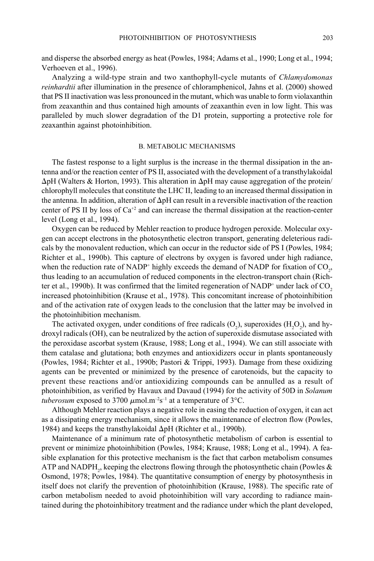and disperse the absorbed energy as heat (Powles, 1984; Adams et al., 1990; Long et al., 1994; Verhoeven et al., 1996).

Analyzing a wild-type strain and two xanthophyll-cycle mutants of *Chlamydomonas reinhardtii* after illumination in the presence of chloramphenicol, Jahns et al. (2000) showed that PS II inactivation was less pronounced in the mutant, which was unable to form violaxanthin from zeaxanthin and thus contained high amounts of zeaxanthin even in low light. This was paralleled by much slower degradation of the D1 protein, supporting a protective role for zeaxanthin against photoinhibition.

### B. METABOLIC MECHANISMS

The fastest response to a light surplus is the increase in the thermal dissipation in the antenna and/or the reaction center of PS II, associated with the development of a transthylakoidal  $\Delta$ pH (Walters & Horton, 1993). This alteration in  $\Delta$ pH may cause aggregation of the protein/ chlorophyll molecules that constitute the LHC II, leading to an increased thermal dissipation in the antenna. In addition, alteration of  $\Delta pH$  can result in a reversible inactivation of the reaction center of PS II by loss of  $Ca^{+2}$  and can increase the thermal dissipation at the reaction-center level (Long et al., 1994).

Oxygen can be reduced by Mehler reaction to produce hydrogen peroxide. Molecular oxygen can accept electrons in the photosynthetic electron transport, generating deleterious radicals by the monovalent reduction, which can occur in the reductor side of PS I (Powles, 1984; Richter et al., 1990b). This capture of electrons by oxygen is favored under high radiance, when the reduction rate of NADP<sup>+</sup> highly exceeds the demand of NADP for fixation of  $\mathrm{CO}_2$ , thus leading to an accumulation of reduced components in the electron-transport chain (Richter et al., 1990b). It was confirmed that the limited regeneration of NADP<sup>+</sup> under lack of  $CO_2$ increased photoinhibition (Krause et al., 1978). This concomitant increase of photoinhibition and of the activation rate of oxygen leads to the conclusion that the latter may be involved in the photoinhibition mechanism.

The activated oxygen, under conditions of free radicals  $(O_2)$ , superoxides  $(H_2O_2)$ , and hydroxyl radicals (OH), can be neutralized by the action of superoxide dismutase associated with the peroxidase ascorbat system (Krause, 1988; Long et al., 1994). We can still associate with them catalase and glutationa; both enzymes and antioxidizers occur in plants spontaneously (Powles, 1984; Richter et al., 1990b; Pastori & Trippi, 1993). Damage from these oxidizing agents can be prevented or minimized by the presence of carotenoids, but the capacity to prevent these reactions and/or antioxidizing compounds can be annulled as a result of photoinhibition, as verified by Havaux and Davaud (1994) for the activity of 50D in *Solanum tuberosum* exposed to 3700  $\mu$ mol.m<sup>-2</sup>s<sup>-1</sup> at a temperature of 3°C.

Although Mehler reaction plays a negative role in easing the reduction of oxygen, it can act as a dissipating energy mechanism, since it allows the maintenance of electron flow (Powles, 1984) and keeps the transthylakoidal  $\Delta$ pH (Richter et al., 1990b).

Maintenance of a minimum rate of photosynthetic metabolism of carbon is essential to prevent or minimize photoinhibition (Powles, 1984; Krause, 1988; Long et al., 1994). A feasible explanation for this protective mechanism is the fact that carbon metabolism consumes ATP and NADPH<sub>2</sub>, keeping the electrons flowing through the photosynthetic chain (Powles  $\&$ Osmond, 1978; Powles, 1984). The quantitative consumption of energy by photosynthesis in itself does not clarify the prevention of photoinhibition (Krause, 1988). The specific rate of carbon metabolism needed to avoid photoinhibition will vary according to radiance maintained during the photoinhibitory treatment and the radiance under which the plant developed,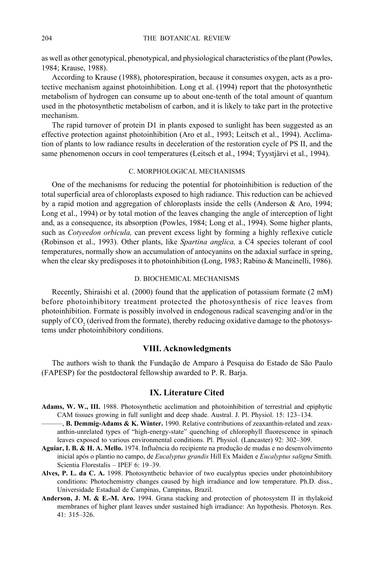as well as other genotypical, phenotypical, and physiological characteristics of the plant (Powles, 1984; Krause, 1988).

According to Krause (1988), photorespiration, because it consumes oxygen, acts as a protective mechanism against photoinhibition. Long et al. (1994) report that the photosynthetic metabolism of hydrogen can consume up to about one-tenth of the total amount of quantum used in the photosynthetic metabolism of carbon, and it is likely to take part in the protective mechanism.

The rapid turnover of protein D1 in plants exposed to sunlight has been suggested as an effective protection against photoinhibition (Aro et al., 1993; Leitsch et al., 1994). Acclimation of plants to low radiance results in deceleration of the restoration cycle of PS II, and the same phenomenon occurs in cool temperatures (Leitsch et al., 1994; Tyystiärvi et al., 1994).

## C. MORPHOLOGICAL MECHANISMS

One of the mechanisms for reducing the potential for photoinhibition is reduction of the total superficial area of chloroplasts exposed to high radiance. This reduction can be achieved by a rapid motion and aggregation of chloroplasts inside the cells (Anderson & Aro, 1994; Long et al., 1994) or by total motion of the leaves changing the angle of interception of light and, as a consequence, its absorption (Powles, 1984; Long et al., 1994). Some higher plants, such as *Cotyeedon orbicula,* can prevent excess light by forming a highly reflexive cuticle (Robinson et al., 1993). Other plants, like *Spartina anglica,* a C4 species tolerant of cool temperatures, normally show an accumulation of antocyanins on the adaxial surface in spring, when the clear sky predisposes it to photoinhibition (Long, 1983; Rabino & Mancinelli, 1986).

#### D. BIOCHEMICAL MECHANISMS

Recently, Shiraishi et al. (2000) found that the application of potassium formate (2 mM) before photoinhibitory treatment protected the photosynthesis of rice leaves from photoinhibition. Formate is possibly involved in endogenous radical scavenging and/or in the supply of  $\mathrm{CO}_2$  (derived from the formate), thereby reducing oxidative damage to the photosystems under photoinhibitory conditions.

## **VIII. Acknowledgments**

The authors wish to thank the Fundação de Amparo à Pesquisa do Estado de São Paulo (FAPESP) for the postdoctoral fellowship awarded to P. R. Barja.

## **IX. Literature Cited**

- **Adams, W. W., III.** 1988. Photosynthetic acclimation and photoinhibition of terrestrial and epiphytic CAM tissues growing in full sunlight and deep shade. Austral. J. Pl. Physiol. 15: 123–134.
- óóó, **B. Demmig-Adams & K. Winter.** 1990. Relative contributions of zeaxanthin-related and zeaxanthin-unrelated types of "high-energy-state" quenching of chlorophyll fluorescence in spinach leaves exposed to various environmental conditions. Pl. Physiol. (Lancaster) 92: 302-309.
- **Aguiar, I. B. & H. A. Mello.** 1974. Influência do recipiente na produção de mudas e no desenvolvimento inicial após o plantio no campo, de *Eucalyptus grandis* Hill Ex Maiden e *Eucalyptus saligna* Smith. Scientia Florestalis – IPEF 6: 19–39.
- **Alves, P. L. da C. A.** 1998. Photosynthetic behavior of two eucalyptus species under photoinhibitory conditions: Photochemistry changes caused by high irradiance and low temperature. Ph.D. diss., Universidade Estadual de Campinas, Campinas, Brazil.
- **Anderson, J. M. & E.-M. Aro.** 1994. Grana stacking and protection of photosystem II in thylakoid membranes of higher plant leaves under sustained high irradiance: An hypothesis. Photosyn. Res.  $41: 315 - 326.$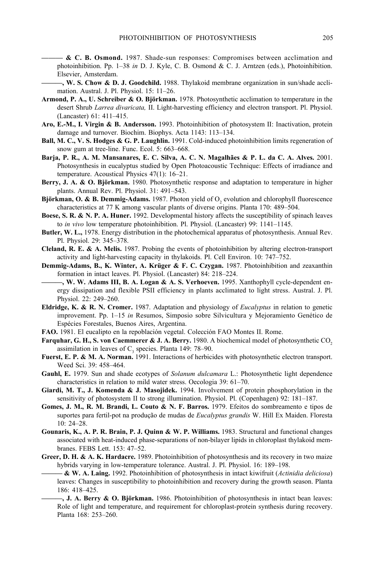- **óóó & C. B. Osmond.** 1987. Shade-sun responses: Compromises between acclimation and photoinhibition. Pp. 1-38 *in* D. J. Kyle, C. B. Osmond & C. J. Arntzen (eds.), Photoinhibition. Elsevier, Amsterdam.
- **óóó, W. S. Chow & D. J. Goodchild.** 1988. Thylakoid membrane organization in sun/shade acclimation. Austral. J. Pl. Physiol. 15: 11-26.
- **Armond, P. A., U. Schreiber & O. Björkman.** 1978. Photosynthetic acclimation to temperature in the desert Shrub *Larrea divaricata,* II. Light-harvesting efficiency and electron transport. Pl. Physiol.  $(Lancaster) 61: 411–415.$
- **Aro, E.-M., I. Virgin & B. Andersson.** 1993. Photoinhibition of photosystem II: Inactivation, protein damage and turnover. Biochim. Biophys. Acta 1143: 113–134.
- **Ball, M. C., V. S. Hodges & G. P. Laughlin.** 1991. Cold-induced photoinhibition limits regeneration of snow gum at tree-line. Func. Ecol. 5: 663–668.
- Barja, P. R., A. M. Mansanares, E. C. Silva, A. C. N. Magalhães & P. L. da C. A. Alves. 2001. Photosynthesis in eucalyptus studied by Open Photoacoustic Technique: Effects of irradiance and temperature. Acoustical Physics  $47(1)$ :  $16-21$ .
- **Berry, J. A. & O. Björkman.** 1980. Photosynthetic response and adaptation to temperature in higher plants. Annual Rev. Pl. Physiol. 31: 491-543.
- Björkman, O. & B. Demmig-Adams. 1987. Photon yield of O<sub>2</sub> evolution and chlorophyll fluorescence characteristics at  $77$  K among vascular plants of diverse origins. Planta  $170:489-504$ .
- **Boese, S. R. & N. P. A. Huner.** 1992. Developmental history affects the susceptibility of spinach leaves to *in vivo* low temperature photoinhibition. Pl. Physiol. (Lancaster) 99: 1141–1145.
- **Butler, W. L.,** 1978. Energy distribution in the photochemical apparatus of photosynthesis. Annual Rev. Pl. Physiol. 29: 345-378.
- **Cleland, R. E. & A. Melis.** 1987. Probing the events of photoinhibition by altering electron-transport activity and light-harvesting capacity in thylakoids. Pl. Cell Environ. 10: 747-752.
- **Demmig-Adams, B., K. Winter, A. Krüger & F. C. Czygan.** 1987. Photoinhibition and zeaxanthin formation in intact leaves. Pl. Physiol. (Lancaster) 84: 218–224.
	- **óóó, W. W. Adams III, B. A. Logan & A. S. Verhoeven.** 1995. Xanthophyll cycle-dependent energy dissipation and flexible PSII efficiency in plants acclimated to light stress. Austral. J. Pl. Physiol. 22: 249-260.
- **Eldridge, K. & R. N. Cromer.** 1987. Adaptation and physiology of *Eucalyptus* in relation to genetic improvement. Pp. 1-15 *in* Resumos, Simposio sobre Silvicultura y Mejoramiento Genético de EspÈcies Forestales, Buenos Aires, Argentina.
- FAO. 1981. El eucalipto en la repoblación vegetal. Colección FAO Montes II. Rome.
- Farquhar, G. H., S. von Caemmerer & J. A. Berry. 1980. A biochemical model of photosynthetic CO<sub>2</sub> assimilation in leaves of  $C_3$  species. Planta 149: 78–90.
- **Fuerst, E. P. & M. A. Norman.** 1991. Interactions of herbicides with photosynthetic electron transport. Weed Sci. 39: 458-464.
- **Gauhl, E.** 1979. Sun and shade ecotypes of *Solanum dulcamara* L.: Photosynthetic light dependence characteristics in relation to mild water stress. Oecologia 39: 61-70.
- **Giardi, M. T., J. Komenda & J. Masojidek.** 1994. Involvement of protein phosphorylation in the sensitivity of photosystem II to strong illumination. Physiol. Pl. (Copenhagen) 92: 181-187.
- **Gomes, J. M., R. M. Brandi, L. Couto & N. F. Barros.** 1979. Efeitos do sombreamento e tipos de suportes para fertil-pot na produção de mudas de *Eucalyptus grandis* W. Hill Ex Maiden. Floresta 10: 24-28.
- **Gounaris, K., A. P. R. Brain, P. J. Quinn & W. P. Williams.** 1983. Structural and functional changes associated with heat-induced phase-separations of non-bilayer lipids in chloroplast thylakoid membranes. FEBS Lett. 153: 47-52.
- **Greer, D. H. & A. K. Hardacre.** 1989. Photoinhibition of photosynthesis and its recovery in two maize hybrids varying in low-temperature tolerance. Austral. J. Pl. Physiol. 16: 189–198.
	- **óóó & W. A. Laing.** 1992. Photoinhibition of photosynthesis in intact kiwifruit (*Actinidia deliciosa*) leaves: Changes in susceptibility to photoinhibition and recovery during the growth season. Planta 186: 418-425.
	- *ó*, **J. A. Berry & O. Björkman.** 1986. Photoinhibition of photosynthesis in intact bean leaves: Role of light and temperature, and requirement for chloroplast-protein synthesis during recovery. Planta 168: 253-260.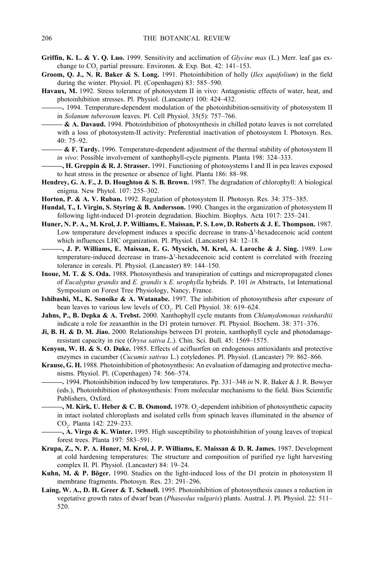- **Griffin, K. L. & Y. Q. Luo.** 1999. Sensitivity and acclimation of *Glycine max* (L.) Merr. leaf gas exchange to  $CO_2$  partial pressure. Environm. & Exp. Bot. 42: 141-153.
- **Groom, Q. J., N. R. Baker & S. Long.** 1991. Photoinhibition of holly (*Ilex aquifolium*) in the field during the winter. Physiol. Pl. (Copenhagen) 83: 585–590.
- **Havaux, M.** 1992. Stress tolerance of photosystem II in vivo: Antagonistic effects of water, heat, and photoinhibition stresses. Pl. Physiol. (Lancaster) 100: 424-432.

**óóó.** 1994. Temperature-dependent modulation of the photoinhibition-sensitivity of photosystem II in *Solanum tuberosum leaves*. Pl. Cell Physiol. 35(5): 757-766.

- **6. 6. A. Davaud.** 1994. Photoinhibition of photosynthesis in chilled potato leaves is not correlated with a loss of photosystem-II activity: Preferential inactivation of photosystem I. Photosyn. Res. 40: 75-92.
- $\mathbf{\&}$  **F. Tardy.** 1996. Temperature-dependent adjustment of the thermal stability of photosystem II *in vivo*: Possible involvement of xanthophyll-cycle pigments. Planta 198: 324–333.
- **óóó, H. Greppin & R. J. Strasser.** 1991. Functioning of photosystems I and II in pea leaves exposed to heat stress in the presence or absence of light. Planta 186: 88-98.
- **Hendrey, G. A. F., J. D. Houghton & S. B. Brown.** 1987. The degradation of chlorophyll: A biological enigma. New Phytol. 107: 255-302.
- **Horton, P. & A. V. Ruban.** 1992. Regulation of photosystem II. Photosyn. Res. 34: 375–385.
- **Hundal, T., I. Virgin, S. Styring & B. Andersson.** 1990. Changes in the organization of photosystem II following light-induced D1-protein degradation. Biochim. Biophys. Acta 1017: 235-241.
- **Huner, N. P. A., M. Krol, J. P. Williams, E. Maissan, P. S. Low, D. Roberts & J. E. Thompson.** 1987. Low temperature development induces a specific decrease in trans- $\Delta$ <sup>3</sup>-hexadecenoic acid content which influences LHC organization. Pl. Physiol. (Lancaster) 84: 12–18.
	- **óóó, J. P. Williams, E. Maissan, E. G. Myscich, M. Krol, A. Laroche & J. Sing.** 1989. Low temperature-induced decrease in trans- $\Delta^3$ -hexadecenoic acid content is correlated with freezing tolerance in cereals. Pl. Physiol. (Lancaster) 89: 144-150.
- **Inoue, M. T. & S. Oda.** 1988. Photosynthesis and transpiration of cuttings and micropropagated clones of *Eucalyptus grandis* and *E. grandis* x *E. urophylla* hybrids*.* P. 101 *in* Abstracts, 1st International Symposium on Forest Tree Physiology, Nancy, France.
- **Ishibashi, M., K. Sonoike & A. Watanabe.** 1997. The inhibition of photosynthesis after exposure of bean leaves to various low levels of  $CO<sub>2</sub>$ . Pl. Cell Physiol. 38: 619–624.
- **Jahns, P., B. Depka & A. Trebst.** 2000. Xanthophyll cycle mutants from *Chlamydomonas reinhardtii* indicate a role for zeaxanthin in the D1 protein turnover. Pl. Physiol. Biochem. 38: 371-376.
- **Ji, B. H. & D. M. Jiao.** 2000. Relationships between D1 protein, xanthophyll cycle and photodamageresistant capacity in rice (*Orysa sativa L.*). Chin. Sci. Bull. 45: 1569-1575.
- **Kenyon, W. H. & S. O. Duke.** 1985. Effects of acifluorfen on endogenous antioxidants and protective enzymes in cucumber (*Cucumis sativus* L.) cotyledones. Pl. Physiol. (Lancaster) 79: 862-866.
- **Krause, G. H.** 1988. Photoinhibition of photosynthesis: An evaluation of damaging and protective mechanisms. Physiol. Pl. (Copenhagen) 74: 566-574.
	- **–.** 1994. Photoinhibition induced by low temperatures. Pp. 331-348 *in* N. R. Baker & J. R. Bowyer (eds.), Photoinhibition of photosynthesis: From molecular mechanisms to the field. Bios Scientific Publishers, Oxford.
- **ó**, **M. Kirk, U. Heber & C. B. Osmond.** 1978. O<sub>2</sub>-dependent inhibition of photosynthetic capacity in intact isolated chloroplasts and isolated cells from spinach leaves illuminated in the absence of  $CO<sub>2</sub>$ . Planta 142: 229–233.
	- **óóó, A. Virgo & K. Winter.** 1995. High susceptibility to photoinhibition of young leaves of tropical forest trees. Planta 197: 583-591.
- **Krupa, Z., N. P. A. Huner, M. Krol, J. P. Williams, E. Maissan & D. R. James.** 1987. Development at cold hardening temperatures: The structure and composition of purified rye light harvesting complex II. Pl. Physiol. (Lancaster) 84: 19-24.
- **Kuhn, M. & P. Bˆger.** 1990. Studies on the light-induced loss of the D1 protein in photosystem II membrane fragments. Photosyn. Res. 23: 291-296.
- **Laing, W. A., D. H. Greer & T. Schnell.** 1995. Photoinhibition of photosynthesis causes a reduction in vegetative growth rates of dwarf bean (*Phaseolus vulgaris*) plants. Austral. J. Pl. Physiol. 22: 511-520.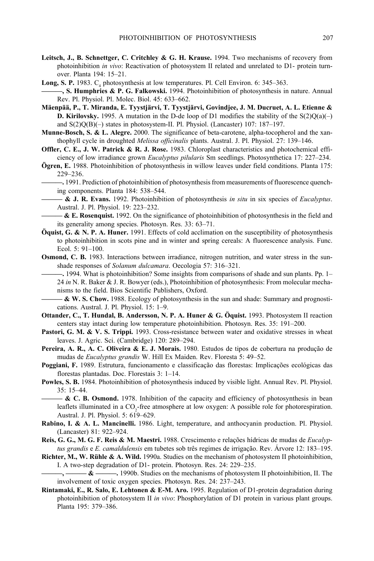**Leitsch, J., B. Schnettger, C. Critchley & G. H. Krause.** 1994. Two mechanisms of recovery from photoinhibition *in vivo*: Reactivation of photosystem II related and unrelated to D1- protein turnover. Planta 194: 15-21.

**Long, S. P.** 1983.  $C_4$  photosynthesis at low temperatures. Pl. Cell Environ. 6: 345–363.

**óóó, S. Humphries & P. G. Falkowski.** 1994. Photoinhibition of photosynthesis in nature. Annual Rev. Pl. Physiol. Pl. Molec. Biol. 45: 633-662.

Mäenpää, P., T. Miranda, E. Tyystjärvi, T. Tyystjärvi, Govindjee, J. M. Ducruet, A. L. Etienne & **D. Kirilovsky.** 1995. A mutation in the D-de loop of D1 modifies the stability of the  $S(2)Q(a)(-)$ and  $S(2)Q(B)(-)$  states in photosystem-II. Pl. Physiol. (Lancaster) 107: 187–197.

- **Munne-Bosch, S. & L. Alegre.** 2000. The significance of beta-carotene, alpha-tocopherol and the xanthophyll cycle in droughted *Melissa officinalis* plants. Austral. J. Pl. Physiol. 27: 139-146.
- **Offler, C. E., J. W. Patrick & R. J. Rose.** 1983. Chloroplast characteristics and photochemical efficiency of low irradiance grown *Eucalyptus pilularis* Sm seedlings. Photosynthetica 17: 227–234.
- **Ögren, E.** 1988. Photoinhibition of photosynthesis in willow leaves under field conditions. Planta 175: 229-236.

 $\rightarrow$  1991. Prediction of photoinhibition of photosynthesis from measurements of fluorescence quenching components. Planta 184: 538-544.

*<b>ó ó* **J. R. Evans.** 1992. Photoinhibition of photosynthesis *in situ* in six species of *Eucalyptus*. Austral. J. Pl. Physiol. 19: 223-232.

 $-\&\mathbf{E}$ . Rosenquist. 1992. On the significance of photoinhibition of photosynthesis in the field and its generality among species. Photosyn. Res.  $33: 63-71$ .

- **Öquist, G. & N. P. A. Huner.** 1991. Effects of cold acclimation on the susceptibility of photosynthesis to photoinhibition in scots pine and in winter and spring cereals: A fluorescence analysis. Func. Ecol. 5: 91-100.
- **Osmond, C. B.** 1983. Interactions between irradiance, nitrogen nutrition, and water stress in the sunshade responses of *Solanum dulcamara*. Oecologia 57: 316–321.

 $\sim$  1994. What is photoinhibition? Some insights from comparisons of shade and sun plants. Pp. 1– 24 *in* N. R. Baker & J. R. Bowyer (eds.), Photoinhibition of photosynthesis: From molecular mechanisms to the field. Bios Scientific Publishers, Oxford.

- **& W. S. Chow.** 1988. Ecology of photosynthesis in the sun and shade: Summary and prognostications. Austral. J. Pl. Physiol. 15: 1-9.
- **Ottander, C., T. Hundal, B. Andersson, N. P. A. Huner & G. Öquist.** 1993. Photosystem II reaction centers stay intact during low temperature photoinhibition. Photosyn. Res. 35: 191-200.
- Pastori, G. M. & V. S. Trippi. 1993. Cross-resistance between water and oxidative stresses in wheat leaves. J. Agric. Sci. (Cambridge) 120: 289-294.
- Pereira, A. R., A. C. Oliveira & E. J. Morais. 1980. Estudos de tipos de cobertura na produção de mudas de *Eucalyptus grandis* W. Hill Ex Maiden. Rev. Floresta 5: 49–52.
- Poggiani, F. 1989. Estrutura, funcionamento e classificação das florestas: Implicações ecológicas das florestas plantadas. Doc. Florestais  $3: 1-14$ .
- **Powles, S. B.** 1984. Photoinhibition of photosynthesis induced by visible light. Annual Rev. Pl. Physiol.  $35: 15-44.$
- $\&$   $\&$  **C. B. Osmond.** 1978. Inhibition of the capacity and efficiency of photosynthesis in bean leaflets illuminated in a  $CO_2$ -free atmosphere at low oxygen: A possible role for photorespiration. Austral. J. Pl. Physiol. 5: 619-629.
- **Rabino, I. & A. L. Mancinelli.** 1986. Light, temperature, and anthocyanin production. Pl. Physiol. (Lancaster) 81: 922-924.
- Reis, G. G., M. G. F. Reis & M. Maestri. 1988. Crescimento e relações hídricas de mudas de *Eucalyptus grandis* e *E. camaldulensis* em tubetes sob três regimes de irrigação. Rev. Árvore 12: 183–195.
- **Richter, M., W. Rühle & A. Wild.** 1990a. Studies on the mechanism of photosystem II photoinhibition, I. A two-step degradation of D1- protein. Photosyn. Res. 24: 229–235.

**6. 6 ó**<sub>0</sub>. If the Studies on the mechanisms of photosystem II photoinhibition, II. The involvement of toxic oxygen species. Photosyn. Res. 24: 237-243.

**Rintamaki, E., R. Salo, E. Lehtonen & E-M. Aro.** 1995. Regulation of D1-protein degradation during photoinhibition of photosystem II *in vivo*: Phosphorylation of D1 protein in various plant groups. Planta 195: 379-386.